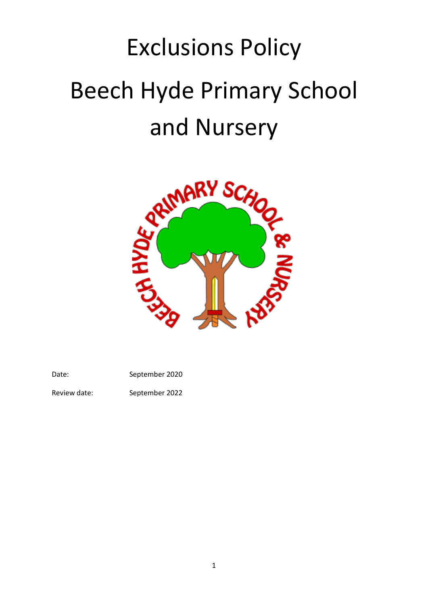# Exclusions Policy Beech Hyde Primary School and Nursery



Date: September 2020

Review date: September 2022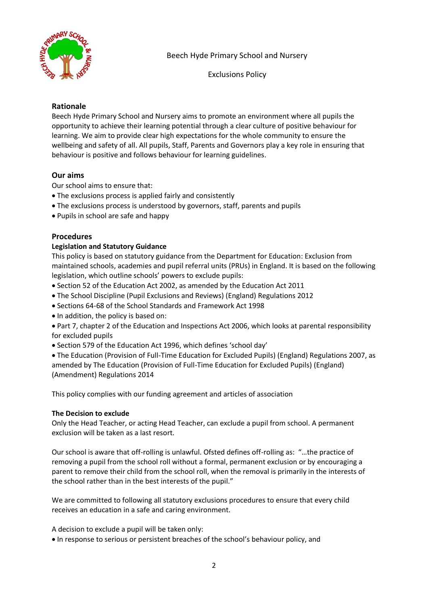

Exclusions Policy

# **Rationale**

Beech Hyde Primary School and Nursery aims to promote an environment where all pupils the opportunity to achieve their learning potential through a clear culture of positive behaviour for learning. We aim to provide clear high expectations for the whole community to ensure the wellbeing and safety of all. All pupils, Staff, Parents and Governors play a key role in ensuring that behaviour is positive and follows behaviour for learning guidelines.

# **Our aims**

Our school aims to ensure that:

- The exclusions process is applied fairly and consistently
- The exclusions process is understood by governors, staff, parents and pupils
- Pupils in school are safe and happy

## **Procedures**

## **Legislation and Statutory Guidance**

This policy is based on statutory guidance from the Department for Education: Exclusion from maintained schools, academies and pupil referral units (PRUs) in England. It is based on the following legislation, which outline schools' powers to exclude pupils:

- Section 52 of the Education Act 2002, as amended by the Education Act 2011
- The School Discipline (Pupil Exclusions and Reviews) (England) Regulations 2012
- Sections 64-68 of the School Standards and Framework Act 1998
- In addition, the policy is based on:
- Part 7, chapter 2 of the Education and Inspections Act 2006, which looks at parental responsibility for excluded pupils
- Section 579 of the Education Act 1996, which defines 'school day'

• The Education (Provision of Full-Time Education for Excluded Pupils) (England) Regulations 2007, as amended by The Education (Provision of Full-Time Education for Excluded Pupils) (England) (Amendment) Regulations 2014

This policy complies with our funding agreement and articles of association

## **The Decision to exclude**

Only the Head Teacher, or acting Head Teacher, can exclude a pupil from school. A permanent exclusion will be taken as a last resort.

Our school is aware that off-rolling is unlawful. Ofsted defines off-rolling as: "…the practice of removing a pupil from the school roll without a formal, permanent exclusion or by encouraging a parent to remove their child from the school roll, when the removal is primarily in the interests of the school rather than in the best interests of the pupil."

We are committed to following all statutory exclusions procedures to ensure that every child receives an education in a safe and caring environment.

A decision to exclude a pupil will be taken only:

• In response to serious or persistent breaches of the school's behaviour policy, and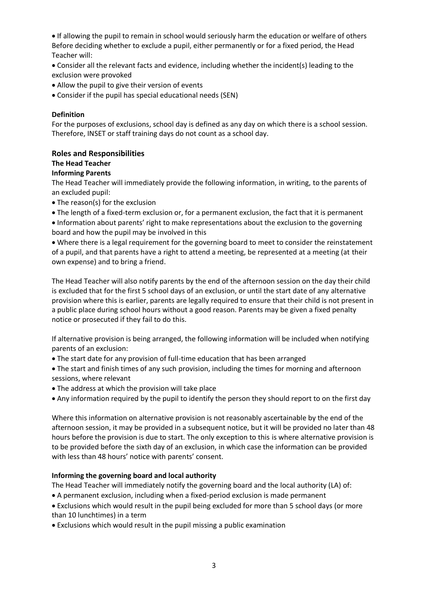• If allowing the pupil to remain in school would seriously harm the education or welfare of others Before deciding whether to exclude a pupil, either permanently or for a fixed period, the Head Teacher will:

• Consider all the relevant facts and evidence, including whether the incident(s) leading to the exclusion were provoked

- Allow the pupil to give their version of events
- Consider if the pupil has special educational needs (SEN)

#### **Definition**

For the purposes of exclusions, school day is defined as any day on which there is a school session. Therefore, INSET or staff training days do not count as a school day.

### **Roles and Responsibilities**

## **The Head Teacher**

### **Informing Parents**

The Head Teacher will immediately provide the following information, in writing, to the parents of an excluded pupil:

- The reason(s) for the exclusion
- The length of a fixed-term exclusion or, for a permanent exclusion, the fact that it is permanent
- Information about parents' right to make representations about the exclusion to the governing board and how the pupil may be involved in this

• Where there is a legal requirement for the governing board to meet to consider the reinstatement of a pupil, and that parents have a right to attend a meeting, be represented at a meeting (at their own expense) and to bring a friend.

The Head Teacher will also notify parents by the end of the afternoon session on the day their child is excluded that for the first 5 school days of an exclusion, or until the start date of any alternative provision where this is earlier, parents are legally required to ensure that their child is not present in a public place during school hours without a good reason. Parents may be given a fixed penalty notice or prosecuted if they fail to do this.

If alternative provision is being arranged, the following information will be included when notifying parents of an exclusion:

• The start date for any provision of full-time education that has been arranged

• The start and finish times of any such provision, including the times for morning and afternoon sessions, where relevant

- The address at which the provision will take place
- Any information required by the pupil to identify the person they should report to on the first day

Where this information on alternative provision is not reasonably ascertainable by the end of the afternoon session, it may be provided in a subsequent notice, but it will be provided no later than 48 hours before the provision is due to start. The only exception to this is where alternative provision is to be provided before the sixth day of an exclusion, in which case the information can be provided with less than 48 hours' notice with parents' consent.

#### **Informing the governing board and local authority**

The Head Teacher will immediately notify the governing board and the local authority (LA) of:

- A permanent exclusion, including when a fixed-period exclusion is made permanent
- Exclusions which would result in the pupil being excluded for more than 5 school days (or more than 10 lunchtimes) in a term
- Exclusions which would result in the pupil missing a public examination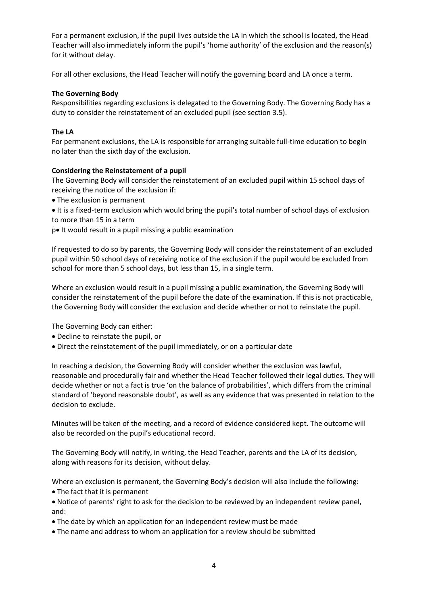For a permanent exclusion, if the pupil lives outside the LA in which the school is located, the Head Teacher will also immediately inform the pupil's 'home authority' of the exclusion and the reason(s) for it without delay.

For all other exclusions, the Head Teacher will notify the governing board and LA once a term.

### **The Governing Body**

Responsibilities regarding exclusions is delegated to the Governing Body. The Governing Body has a duty to consider the reinstatement of an excluded pupil (see section 3.5).

### **The LA**

For permanent exclusions, the LA is responsible for arranging suitable full-time education to begin no later than the sixth day of the exclusion.

### **Considering the Reinstatement of a pupil**

The Governing Body will consider the reinstatement of an excluded pupil within 15 school days of receiving the notice of the exclusion if:

• The exclusion is permanent

• It is a fixed-term exclusion which would bring the pupil's total number of school days of exclusion to more than 15 in a term

p• It would result in a pupil missing a public examination

If requested to do so by parents, the Governing Body will consider the reinstatement of an excluded pupil within 50 school days of receiving notice of the exclusion if the pupil would be excluded from school for more than 5 school days, but less than 15, in a single term.

Where an exclusion would result in a pupil missing a public examination, the Governing Body will consider the reinstatement of the pupil before the date of the examination. If this is not practicable, the Governing Body will consider the exclusion and decide whether or not to reinstate the pupil.

The Governing Body can either:

- Decline to reinstate the pupil, or
- Direct the reinstatement of the pupil immediately, or on a particular date

In reaching a decision, the Governing Body will consider whether the exclusion was lawful, reasonable and procedurally fair and whether the Head Teacher followed their legal duties. They will decide whether or not a fact is true 'on the balance of probabilities', which differs from the criminal standard of 'beyond reasonable doubt', as well as any evidence that was presented in relation to the decision to exclude.

Minutes will be taken of the meeting, and a record of evidence considered kept. The outcome will also be recorded on the pupil's educational record.

The Governing Body will notify, in writing, the Head Teacher, parents and the LA of its decision, along with reasons for its decision, without delay.

Where an exclusion is permanent, the Governing Body's decision will also include the following: • The fact that it is permanent

• Notice of parents' right to ask for the decision to be reviewed by an independent review panel, and:

• The date by which an application for an independent review must be made

• The name and address to whom an application for a review should be submitted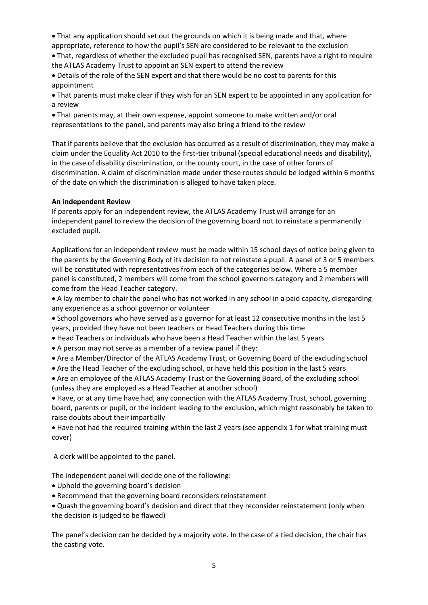• That any application should set out the grounds on which it is being made and that, where appropriate, reference to how the pupil's SEN are considered to be relevant to the exclusion

• That, regardless of whether the excluded pupil has recognised SEN, parents have a right to require the ATLAS Academy Trust to appoint an SEN expert to attend the review

• Details of the role of the SEN expert and that there would be no cost to parents for this appointment

• That parents must make clear if they wish for an SEN expert to be appointed in any application for a review

• That parents may, at their own expense, appoint someone to make written and/or oral representations to the panel, and parents may also bring a friend to the review

That if parents believe that the exclusion has occurred as a result of discrimination, they may make a claim under the Equality Act 2010 to the first-tier tribunal (special educational needs and disability), in the case of disability discrimination, or the county court, in the case of other forms of discrimination. A claim of discrimination made under these routes should be lodged within 6 months of the date on which the discrimination is alleged to have taken place.

### **An independent Review**

If parents apply for an independent review, the ATLAS Academy Trust will arrange for an independent panel to review the decision of the governing board not to reinstate a permanently excluded pupil.

Applications for an independent review must be made within 15 school days of notice being given to the parents by the Governing Body of its decision to not reinstate a pupil. A panel of 3 or 5 members will be constituted with representatives from each of the categories below. Where a 5 member panel is constituted, 2 members will come from the school governors category and 2 members will come from the Head Teacher category.

• A lay member to chair the panel who has not worked in any school in a paid capacity, disregarding any experience as a school governor or volunteer

• School governors who have served as a governor for at least 12 consecutive months in the last 5 years, provided they have not been teachers or Head Teachers during this time

• Head Teachers or individuals who have been a Head Teacher within the last 5 years

• A person may not serve as a member of a review panel if they:

• Are a Member/Director of the ATLAS Academy Trust, or Governing Board of the excluding school

• Are the Head Teacher of the excluding school, or have held this position in the last 5 years

• Are an employee of the ATLAS Academy Trust or the Governing Board, of the excluding school (unless they are employed as a Head Teacher at another school)

• Have, or at any time have had, any connection with the ATLAS Academy Trust, school, governing board, parents or pupil, or the incident leading to the exclusion, which might reasonably be taken to raise doubts about their impartially

• Have not had the required training within the last 2 years (see appendix 1 for what training must cover)

A clerk will be appointed to the panel.

The independent panel will decide one of the following:

- Uphold the governing board's decision
- Recommend that the governing board reconsiders reinstatement

• Quash the governing board's decision and direct that they reconsider reinstatement (only when the decision is judged to be flawed)

The panel's decision can be decided by a majority vote. In the case of a tied decision, the chair has the casting vote.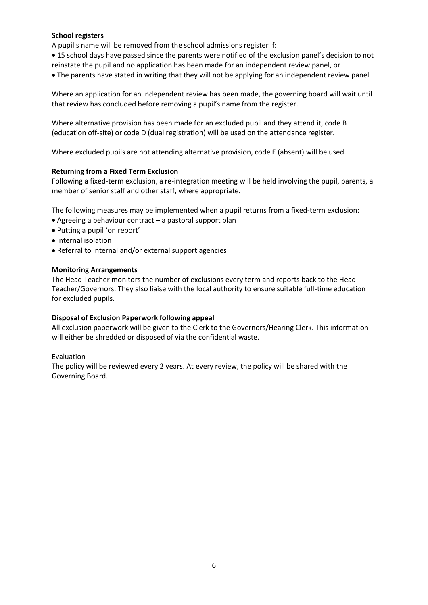### **School registers**

A pupil's name will be removed from the school admissions register if:

- 15 school days have passed since the parents were notified of the exclusion panel's decision to not reinstate the pupil and no application has been made for an independent review panel, or
- The parents have stated in writing that they will not be applying for an independent review panel

Where an application for an independent review has been made, the governing board will wait until that review has concluded before removing a pupil's name from the register.

Where alternative provision has been made for an excluded pupil and they attend it, code B (education off-site) or code D (dual registration) will be used on the attendance register.

Where excluded pupils are not attending alternative provision, code E (absent) will be used.

#### **Returning from a Fixed Term Exclusion**

Following a fixed-term exclusion, a re-integration meeting will be held involving the pupil, parents, a member of senior staff and other staff, where appropriate.

The following measures may be implemented when a pupil returns from a fixed-term exclusion:

- Agreeing a behaviour contract a pastoral support plan
- Putting a pupil 'on report'
- Internal isolation
- Referral to internal and/or external support agencies

#### **Monitoring Arrangements**

The Head Teacher monitors the number of exclusions every term and reports back to the Head Teacher/Governors. They also liaise with the local authority to ensure suitable full-time education for excluded pupils.

#### **Disposal of Exclusion Paperwork following appeal**

All exclusion paperwork will be given to the Clerk to the Governors/Hearing Clerk. This information will either be shredded or disposed of via the confidential waste.

#### Evaluation

The policy will be reviewed every 2 years. At every review, the policy will be shared with the Governing Board.